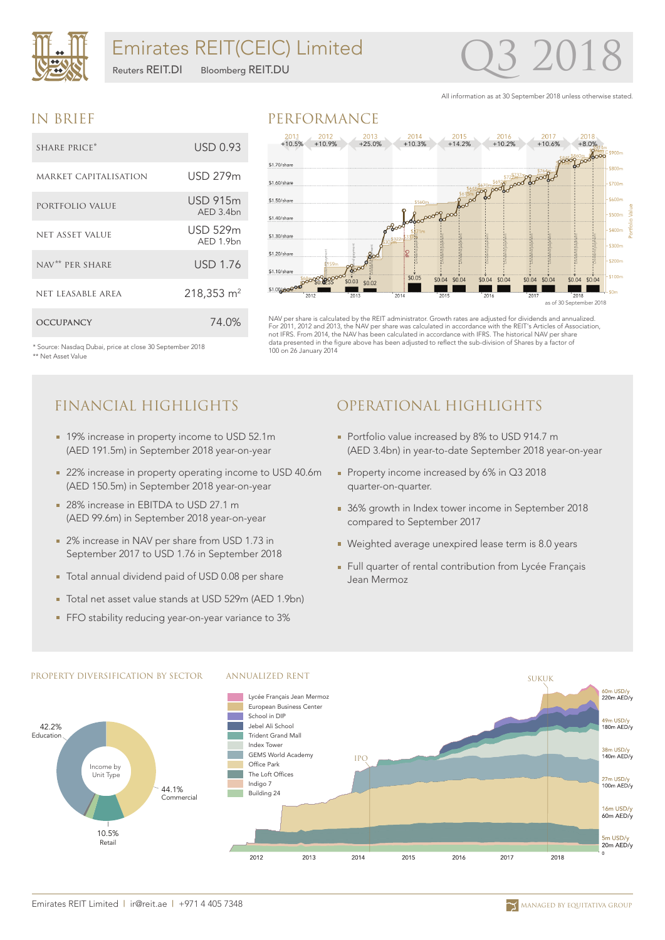

# Emirates REIT(CEIC) Limited

Reuters REIT.DI Bloomberg REIT.DU

# 3 20

All information as at 30 September 2018 unless otherwise stated.

#### IN BRIEF

| SHARE PRICE*                 | USD 0.93                     |
|------------------------------|------------------------------|
| <b>MARKET CAPITALISATION</b> | USD 279m                     |
| PORTFOLIO VALUE              | <b>USD 915m</b><br>AFD.3.4bn |
| <b>NET ASSET VALUE</b>       | <b>USD 529m</b><br>AFD 1.9hn |
| NAV <sup>**</sup> PER SHARE  | <b>USD 1.76</b>              |
| NET LEASABLE AREA            | 218,353 m <sup>2</sup>       |
| <b>OCCUPANCY</b>             | 74.0%                        |

#### PERFORMANCE



NAV per share is calculated by the REIT administrator. Growth rates are adjusted for dividends and annualized. For 2011, 2012 and 2013, the NAV per share was calculated in accordance with the REIT's Articles of Association, not IFRS. From 2014, the NAV has been calculated in accordance with IFRS. The historical NAV per share data presented in the figure above has been adjusted to reflect the sub-division of Shares by a factor of 100 on 26 January 2014

\* Source: Nasdaq Dubai, price at close 30 September 2018 \*\* Net Asset Value

# FINANCIAL HIGHLIGHTS

- 19% increase in property income to USD 52.1m (AED 191.5m) in September 2018 year-on-year
- 22% increase in property operating income to USD 40.6m (AED 150.5m) in September 2018 year-on-year
- 28% increase in EBITDA to USD 27.1 m (AED 99.6m) in September 2018 year-on-year
- 2% increase in NAV per share from USD 1.73 in September 2017 to USD 1.76 in September 2018
- Total annual dividend paid of USD 0.08 per share
- Total net asset value stands at USD 529m (AED 1.9bn)
- FFO stability reducing year-on-year variance to 3%

# OPERATIONAL HIGHLIGHTS

- Portfolio value increased by 8% to USD 914.7 m (AED 3.4bn) in year-to-date September 2018 year-on-year
- Property income increased by 6% in Q3 2018 quarter-on-quarter.
- 36% growth in Index tower income in September 2018 compared to September 2017
- Weighted average unexpired lease term is 8.0 years
- Full quarter of rental contribution from Lycée Français Jean Mermoz